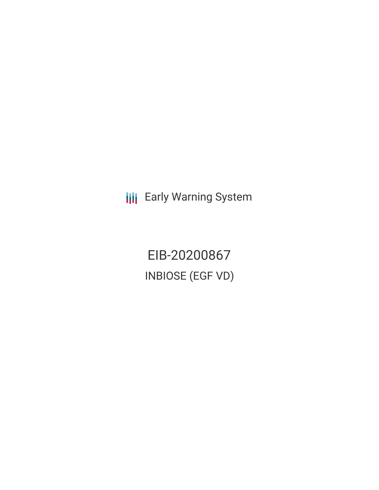**III** Early Warning System

EIB-20200867 INBIOSE (EGF VD)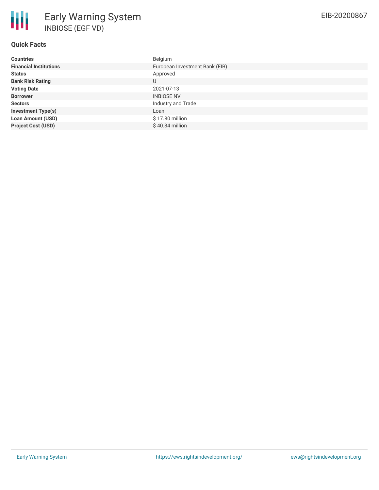# **Quick Facts**

| <b>Countries</b>              | Belgium                        |
|-------------------------------|--------------------------------|
| <b>Financial Institutions</b> | European Investment Bank (EIB) |
| <b>Status</b>                 | Approved                       |
| <b>Bank Risk Rating</b>       | U                              |
| <b>Voting Date</b>            | 2021-07-13                     |
| <b>Borrower</b>               | <b>INBIOSE NV</b>              |
| <b>Sectors</b>                | Industry and Trade             |
| <b>Investment Type(s)</b>     | Loan                           |
| <b>Loan Amount (USD)</b>      | $$17.80$ million               |
| <b>Project Cost (USD)</b>     | $$40.34$ million               |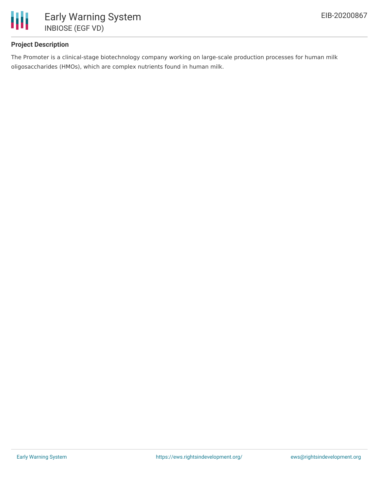

# **Project Description**

The Promoter is a clinical-stage biotechnology company working on large-scale production processes for human milk oligosaccharides (HMOs), which are complex nutrients found in human milk.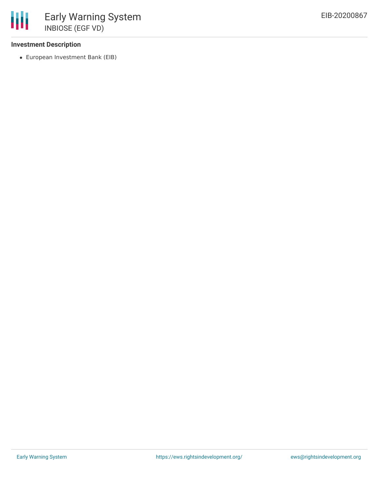## **Investment Description**

European Investment Bank (EIB)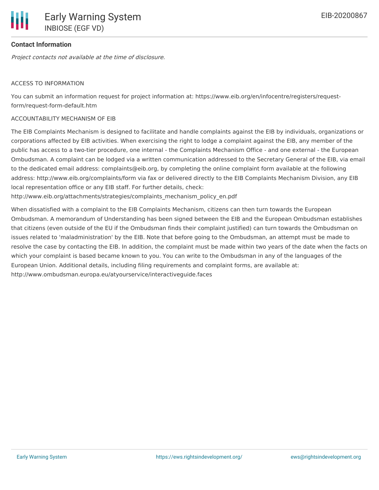Project contacts not available at the time of disclosure.

### ACCESS TO INFORMATION

You can submit an information request for project information at: https://www.eib.org/en/infocentre/registers/requestform/request-form-default.htm

#### ACCOUNTABILITY MECHANISM OF EIB

The EIB Complaints Mechanism is designed to facilitate and handle complaints against the EIB by individuals, organizations or corporations affected by EIB activities. When exercising the right to lodge a complaint against the EIB, any member of the public has access to a two-tier procedure, one internal - the Complaints Mechanism Office - and one external - the European Ombudsman. A complaint can be lodged via a written communication addressed to the Secretary General of the EIB, via email to the dedicated email address: complaints@eib.org, by completing the online complaint form available at the following address: http://www.eib.org/complaints/form via fax or delivered directly to the EIB Complaints Mechanism Division, any EIB local representation office or any EIB staff. For further details, check:

http://www.eib.org/attachments/strategies/complaints\_mechanism\_policy\_en.pdf

When dissatisfied with a complaint to the EIB Complaints Mechanism, citizens can then turn towards the European Ombudsman. A memorandum of Understanding has been signed between the EIB and the European Ombudsman establishes that citizens (even outside of the EU if the Ombudsman finds their complaint justified) can turn towards the Ombudsman on issues related to 'maladministration' by the EIB. Note that before going to the Ombudsman, an attempt must be made to resolve the case by contacting the EIB. In addition, the complaint must be made within two years of the date when the facts on which your complaint is based became known to you. You can write to the Ombudsman in any of the languages of the European Union. Additional details, including filing requirements and complaint forms, are available at: http://www.ombudsman.europa.eu/atyourservice/interactiveguide.faces